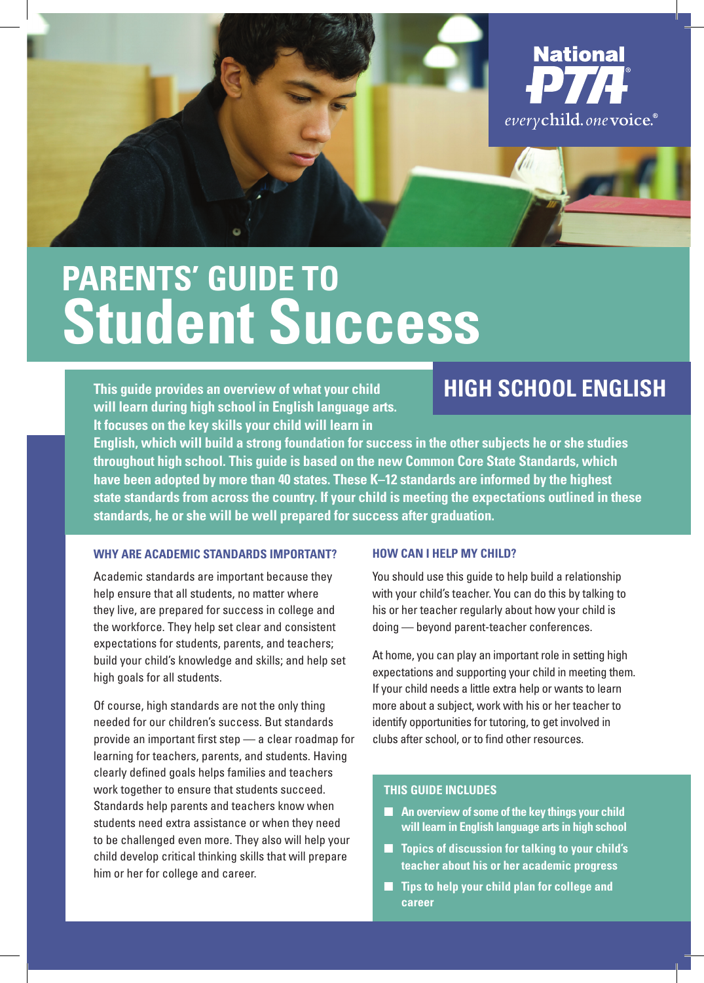

# **Parents' Guide to Parents' Guide to Student Success Student Success**

**This guide provides an overview of what your child will learn during high school in English language arts. It focuses on the key skills your child will learn in** 

## **high school english**

**English, which will build a strong foundation for success in the other subjects he or she studies throughout high school. This guide is based on the new Common Core State Standards, which have been adopted by more than 40 states. These K–12 standards are informed by the highest state standards from across the country. If your child is meeting the expectations outlined in these standards, he or she will be well prepared for success after graduation.**

#### **Why are Academic Standards Important?**

Academic standards are important because they help ensure that all students, no matter where they live, are prepared for success in college and the workforce. They help set clear and consistent expectations for students, parents, and teachers; build your child's knowledge and skills; and help set high goals for all students.

Of course, high standards are not the only thing needed for our children's success. But standards provide an important first step — a clear roadmap for learning for teachers, parents, and students. Having clearly defined goals helps families and teachers work together to ensure that students succeed. Standards help parents and teachers know when students need extra assistance or when they need to be challenged even more. They also will help your child develop critical thinking skills that will prepare him or her for college and career.

#### **how can i help my child?**

You should use this guide to help build a relationship with your child's teacher. You can do this by talking to his or her teacher regularly about how your child is doing — beyond parent-teacher conferences.

At home, you can play an important role in setting high expectations and supporting your child in meeting them. If your child needs a little extra help or wants to learn more about a subject, work with his or her teacher to identify opportunities for tutoring, to get involved in clubs after school, or to find other resources.

#### **This Guide Includes**

- An overview of some of the key things your child **will learn in English language arts in high school**
- **Topics of discussion for talking to your child's teacher about his or her academic progress**
- **Tips to help your child plan for college and career**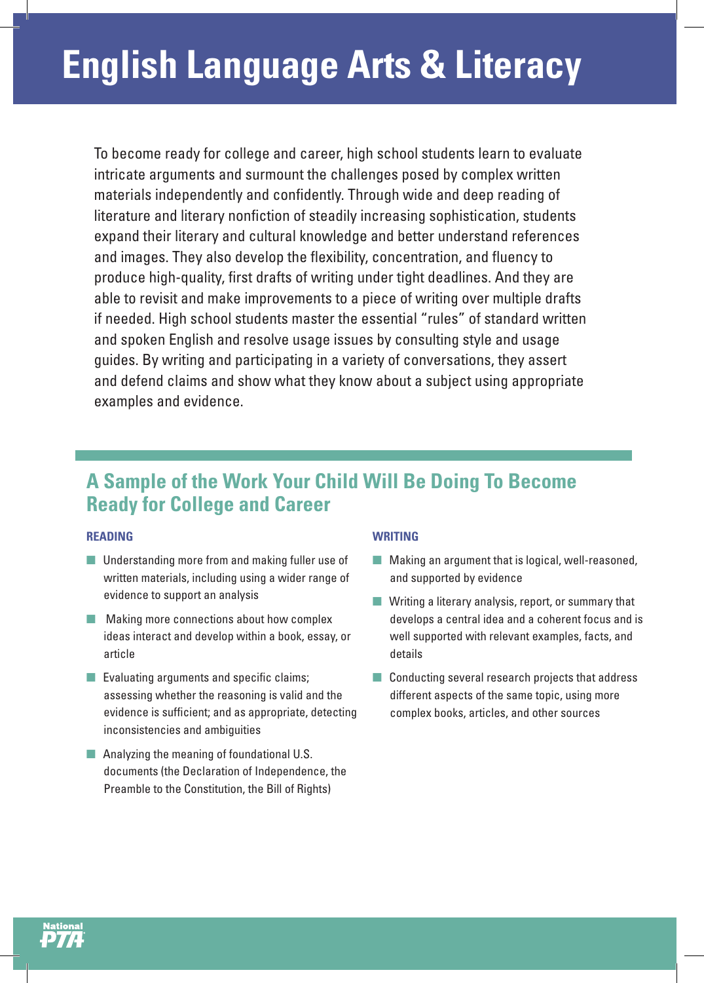To become ready for college and career, high school students learn to evaluate intricate arguments and surmount the challenges posed by complex written materials independently and confidently. Through wide and deep reading of literature and literary nonfiction of steadily increasing sophistication, students expand their literary and cultural knowledge and better understand references and images. They also develop the flexibility, concentration, and fluency to produce high-quality, first drafts of writing under tight deadlines. And they are able to revisit and make improvements to a piece of writing over multiple drafts if needed. High school students master the essential "rules" of standard written and spoken English and resolve usage issues by consulting style and usage guides. By writing and participating in a variety of conversations, they assert and defend claims and show what they know about a subject using appropriate examples and evidence.

### **A Sample of the Work Your Child Will Be Doing To Become Ready for College and Career**

#### **Reading**

- Understanding more from and making fuller use of written materials, including using a wider range of evidence to support an analysis
- Making more connections about how complex ideas interact and develop within a book, essay, or article
- Evaluating arguments and specific claims; assessing whether the reasoning is valid and the evidence is sufficient; and as appropriate, detecting inconsistencies and ambiguities
- Analyzing the meaning of foundational U.S. documents (the Declaration of Independence, the Preamble to the Constitution, the Bill of Rights)

#### **Writing**

- Making an argument that is logical, well-reasoned, and supported by evidence
- Writing a literary analysis, report, or summary that develops a central idea and a coherent focus and is well supported with relevant examples, facts, and details
- Conducting several research projects that address different aspects of the same topic, using more complex books, articles, and other sources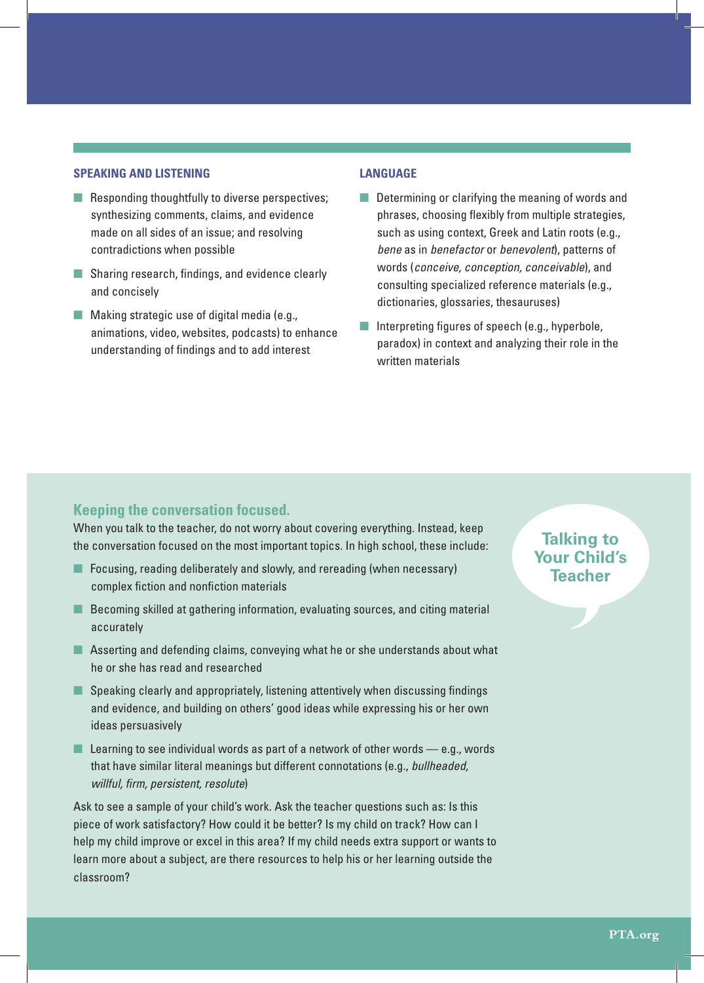#### **Speaking and Listening**

- Responding thoughtfully to diverse perspectives; synthesizing comments, claims, and evidence made on all sides of an issue; and resolving contradictions when possible
- Sharing research, findings, and evidence clearly and concisely
- Making strategic use of digital media (e.g., animations, video, websites, podcasts) to enhance understanding of findings and to add interest

#### **Language**

- Determining or clarifying the meaning of words and phrases, choosing flexibly from multiple strategies, such as using context, Greek and Latin roots (e.g., *bene* as in *benefactor* or *benevolent*), patterns of words (*conceive, conception, conceivable*), and consulting specialized reference materials (e.g., dictionaries, glossaries, thesauruses)
- Interpreting figures of speech (e.g., hyperbole, paradox) in context and analyzing their role in the written materials

#### **Keeping the conversation focused.**

When you talk to the teacher, do not worry about covering everything. Instead, keep the conversation focused on the most important topics. In high school, these include:

- Focusing, reading deliberately and slowly, and rereading (when necessary) complex fiction and nonfiction materials
- Becoming skilled at gathering information, evaluating sources, and citing material accurately
- Asserting and defending claims, conveying what he or she understands about what he or she has read and researched
- Speaking clearly and appropriately, listening attentively when discussing findings and evidence, and building on others' good ideas while expressing his or her own ideas persuasively
- **E** Learning to see individual words as part of a network of other words  $-$  e.g., words that have similar literal meanings but different connotations (e.g., *bullheaded, willful, firm, persistent, resolute*)

Ask to see a sample of your child's work. Ask the teacher questions such as: Is this piece of work satisfactory? How could it be better? Is my child on track? How can I help my child improve or excel in this area? If my child needs extra support or wants to learn more about a subject, are there resources to help his or her learning outside the classroom?

#### **Talking to Your Child's Teacher**